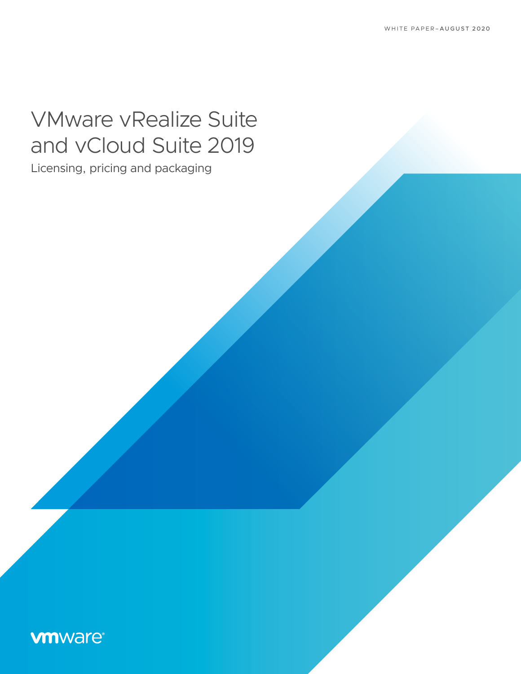# VMware vRealize Suite and vCloud Suite 2019

Licensing, pricing and packaging

## **vmware®**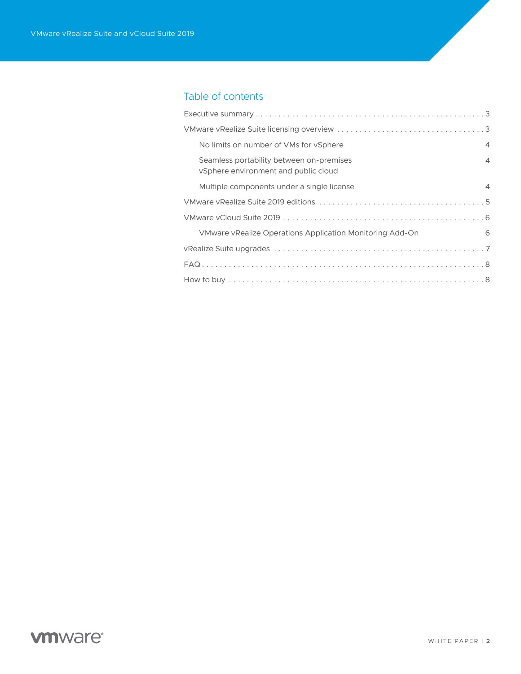### Table of contents

| No limits on number of VMs for vSphere                                           | $\overline{4}$ |
|----------------------------------------------------------------------------------|----------------|
| Seamless portability between on-premises<br>vSphere environment and public cloud | 4              |
| Multiple components under a single license                                       | $\overline{4}$ |
|                                                                                  |                |
|                                                                                  |                |
| VMware vRealize Operations Application Monitoring Add-On                         | 6              |
|                                                                                  |                |
|                                                                                  |                |
|                                                                                  |                |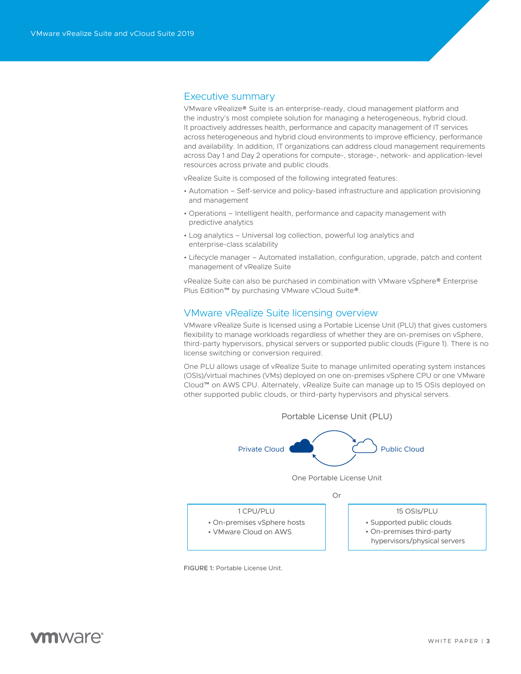#### <span id="page-2-0"></span>Executive summary

VMware vRealize® Suite is an enterprise-ready, cloud management platform and the industry's most complete solution for managing a heterogeneous, hybrid cloud. It proactively addresses health, performance and capacity management of IT services across heterogeneous and hybrid cloud environments to improve efficiency, performance and availability. In addition, IT organizations can address cloud management requirements across Day 1 and Day 2 operations for compute-, storage-, network- and application-level resources across private and public clouds.

vRealize Suite is composed of the following integrated features:

- Automation Self-service and policy-based infrastructure and application provisioning and management
- Operations Intelligent health, performance and capacity management with predictive analytics
- Log analytics Universal log collection, powerful log analytics and enterprise-class scalability
- Lifecycle manager Automated installation, configuration, upgrade, patch and content management of vRealize Suite

vRealize Suite can also be purchased in combination with VMware vSphere® Enterprise Plus Edition™ by purchasing VMware vCloud Suite®.

#### VMware vRealize Suite licensing overview

VMware vRealize Suite is licensed using a Portable License Unit (PLU) that gives customers flexibility to manage workloads regardless of whether they are on-premises on vSphere, third-party hypervisors, physical servers or supported public clouds (Figure 1). There is no license switching or conversion required.

One PLU allows usage of vRealize Suite to manage unlimited operating system instances (OSIs)/virtual machines (VMs) deployed on one on-premises vSphere CPU or one VMware Cloud™ on AWS CPU. Alternately, vRealize Suite can manage up to 15 OSIs deployed on other supported public clouds, or third-party hypervisors and physical servers.



FIGURE 1: Portable License Unit.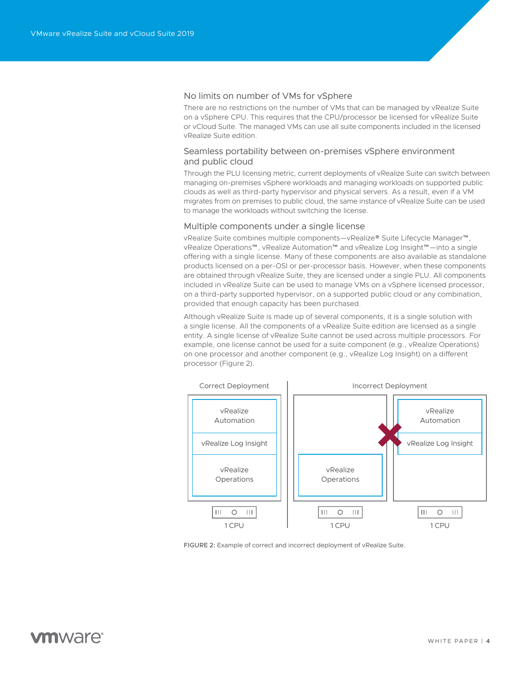#### <span id="page-3-0"></span>No limits on number of VMs for vSphere

There are no restrictions on the number of VMs that can be managed by vRealize Suite on a vSphere CPU. This requires that the CPU/processor be licensed for vRealize Suite or vCloud Suite. The managed VMs can use all suite components included in the licensed vRealize Suite edition.

#### Seamless portability between on-premises vSphere environment and public cloud

Through the PLU licensing metric, current deployments of vRealize Suite can switch between managing on-premises vSphere workloads and managing workloads on supported public clouds as well as third-party hypervisor and physical servers. As a result, even if a VM migrates from on premises to public cloud, the same instance of vRealize Suite can be used to manage the workloads without switching the license.

#### Multiple components under a single license

vRealize Suite combines multiple components—vRealize® Suite Lifecycle Manager™, vRealize Operations™, vRealize Automation™ and vRealize Log Insight™—into a single offering with a single license. Many of these components are also available as standalone products licensed on a per-OSI or per-processor basis. However, when these components are obtained through vRealize Suite, they are licensed under a single PLU. All components included in vRealize Suite can be used to manage VMs on a vSphere licensed processor, on a third-party supported hypervisor, on a supported public cloud or any combination, provided that enough capacity has been purchased.

Although vRealize Suite is made up of several components, it is a single solution with a single license. All the components of a vRealize Suite edition are licensed as a single entity. A single license of vRealize Suite cannot be used across multiple processors. For example, one license cannot be used for a suite component (e.g., vRealize Operations) on one processor and another component (e.g., vRealize Log Insight) on a different processor (Figure 2).



FIGURE 2: Example of correct and incorrect deployment of vRealize Suite.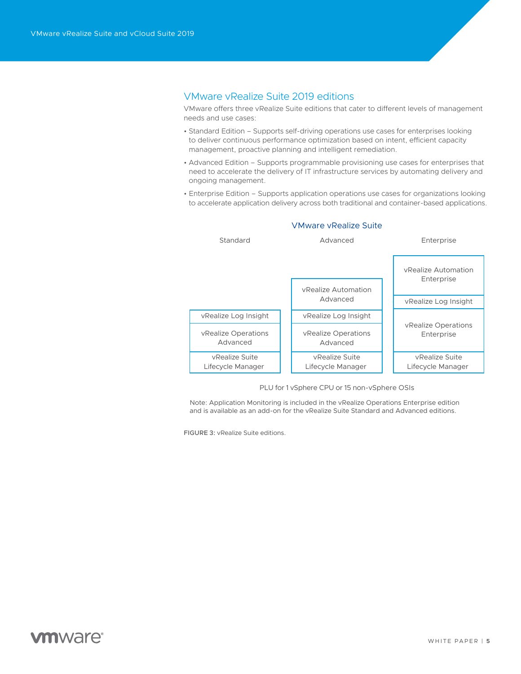#### <span id="page-4-0"></span>VMware vRealize Suite 2019 editions

VMware offers three vRealize Suite editions that cater to different levels of management needs and use cases:

- Standard Edition Supports self-driving operations use cases for enterprises looking to deliver continuous performance optimization based on intent, efficient capacity management, proactive planning and intelligent remediation.
- Advanced Edition Supports programmable provisioning use cases for enterprises that need to accelerate the delivery of IT infrastructure services by automating delivery and ongoing management.
- Enterprise Edition Supports application operations use cases for organizations looking to accelerate application delivery across both traditional and container-based applications.



#### VMware vRealize Suite

PLU for 1 vSphere CPU or 15 non-vSphere OSIs

Note: Application Monitoring is included in the vRealize Operations Enterprise edition and is available as an add-on for the vRealize Suite Standard and Advanced editions.

FIGURE 3: vRealize Suite editions.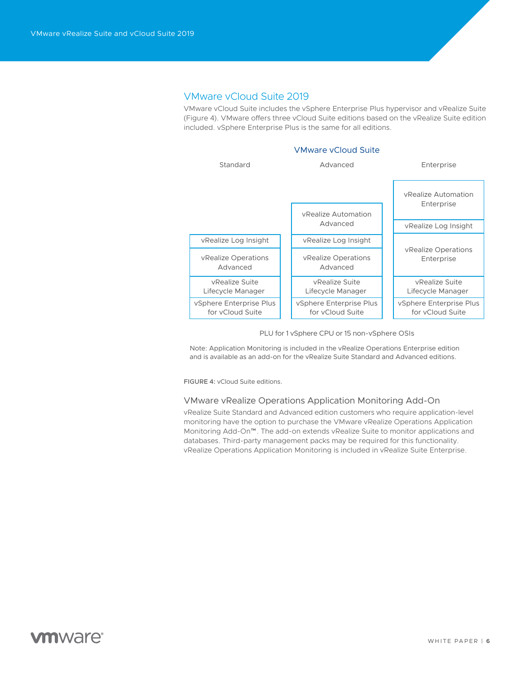#### <span id="page-5-0"></span>VMware vCloud Suite 2019

VMware vCloud Suite includes the vSphere Enterprise Plus hypervisor and vRealize Suite (Figure 4). VMware offers three vCloud Suite editions based on the vRealize Suite edition included. vSphere Enterprise Plus is the same for all editions.



PLU for 1 vSphere CPU or 15 non-vSphere OSIs

Note: Application Monitoring is included in the vRealize Operations Enterprise edition and is available as an add-on for the vRealize Suite Standard and Advanced editions.

FIGURE 4: vCloud Suite editions.

#### VMware vRealize Operations Application Monitoring Add-On

vRealize Suite Standard and Advanced edition customers who require application-level monitoring have the option to purchase the VMware vRealize Operations Application Monitoring Add-On™. The add-on extends vRealize Suite to monitor applications and databases. Third-party management packs may be required for this functionality. vRealize Operations Application Monitoring is included in vRealize Suite Enterprise.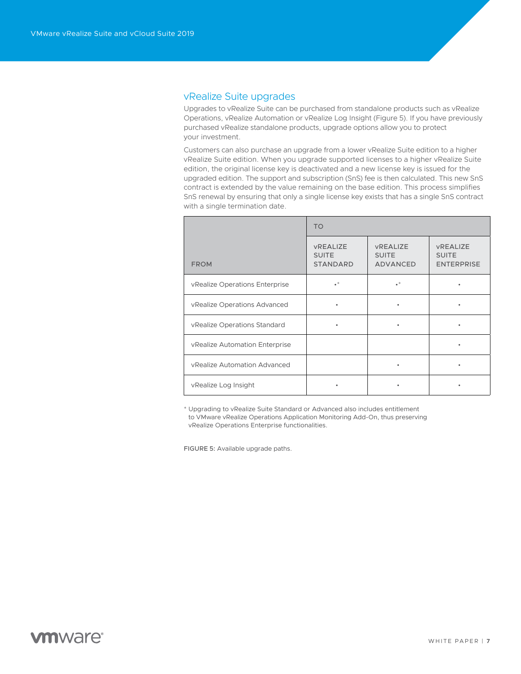#### <span id="page-6-0"></span>vRealize Suite upgrades

Upgrades to vRealize Suite can be purchased from standalone products such as vRealize Operations, vRealize Automation or vRealize Log Insight (Figure 5). If you have previously purchased vRealize standalone products, upgrade options allow you to protect your investment.

Customers can also purchase an upgrade from a lower vRealize Suite edition to a higher vRealize Suite edition. When you upgrade supported licenses to a higher vRealize Suite edition, the original license key is deactivated and a new license key is issued for the upgraded edition. The support and subscription (SnS) fee is then calculated. This new SnS contract is extended by the value remaining on the base edition. This process simplifies SnS renewal by ensuring that only a single license key exists that has a single SnS contract with a single termination date.

|                                | <b>TO</b>                                          |                                                    |                                                      |
|--------------------------------|----------------------------------------------------|----------------------------------------------------|------------------------------------------------------|
| <b>FROM</b>                    | <b>VREALIZE</b><br><b>SUITE</b><br><b>STANDARD</b> | <b>VREALIZE</b><br><b>SUITE</b><br><b>ADVANCED</b> | <b>VREALIZE</b><br><b>SUITE</b><br><b>ENTERPRISE</b> |
| vRealize Operations Enterprise | $\bullet^*$                                        | $\bullet^*$                                        | ٠                                                    |
| vRealize Operations Advanced   | ٠                                                  | ٠                                                  |                                                      |
| vRealize Operations Standard   | ٠                                                  | ٠                                                  |                                                      |
| vRealize Automation Enterprise |                                                    |                                                    | ٠                                                    |
| vRealize Automation Advanced   |                                                    | ٠                                                  | ٠                                                    |
| vRealize Log Insight           | ٠                                                  | ٠                                                  | $\bullet$                                            |

\* Upgrading to vRealize Suite Standard or Advanced also includes entitlement to VMware vRealize Operations Application Monitoring Add-On, thus preserving vRealize Operations Enterprise functionalities.

FIGURE 5: Available upgrade paths.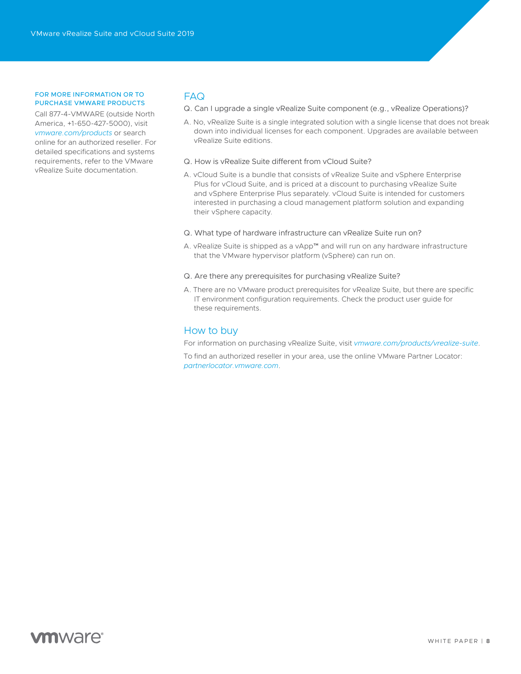#### <span id="page-7-0"></span>FOR MORE INFORMATION OR TO PURCHASE VMWARE PRODUCTS

Call 877-4-VMWARE (outside North America, +1-650-427-5000), visit *[vmware.com/products](https://www.vmware.com/products.html)* or search online for an authorized reseller. For detailed specifications and systems requirements, refer to the VMware vRealize Suite documentation.

#### FAQ

Q. Can I upgrade a single vRealize Suite component (e.g., vRealize Operations)?

- A. No, vRealize Suite is a single integrated solution with a single license that does not break down into individual licenses for each component. Upgrades are available between vRealize Suite editions.
- Q. How is vRealize Suite different from vCloud Suite?
- A. vCloud Suite is a bundle that consists of vRealize Suite and vSphere Enterprise Plus for vCloud Suite, and is priced at a discount to purchasing vRealize Suite and vSphere Enterprise Plus separately. vCloud Suite is intended for customers interested in purchasing a cloud management platform solution and expanding their vSphere capacity.
- Q. What type of hardware infrastructure can vRealize Suite run on?
- A. vRealize Suite is shipped as a vApp™ and will run on any hardware infrastructure that the VMware hypervisor platform (vSphere) can run on.
- Q. Are there any prerequisites for purchasing vRealize Suite?
- A. There are no VMware product prerequisites for vRealize Suite, but there are specific IT environment configuration requirements. Check the product user guide for these requirements.

#### How to buy

For information on purchasing vRealize Suite, visit *[vmware.com/products/vrealize-suite](https://www.vmware.com/products/vrealize-suite.html#pricing)*.

To find an authorized reseller in your area, use the online VMware Partner Locator: *[partnerlocator.vmware.com](https://partnerlocator.vmware.com/)*.